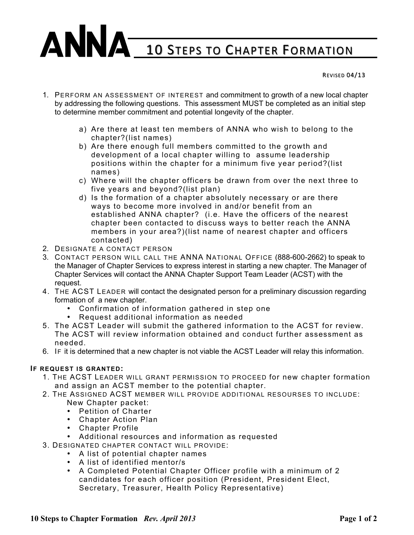## ANNA 10 STEPS TO CHAPTER FORMATION

REVISED 04/13

- 1. PERFORM AN ASSESSMENT OF INTEREST and commitment to growth of a new local chapter by addressing the following questions. This assessment MUST be completed as an initial step to determine member commitment and potential longevity of the chapter.
	- a) Are there at least ten members of ANNA who wish to belong to the chapter?(list names)
	- b) Are there enough full members committed to the growth and development of a local chapter willing to assume leadership positions within the chapter for a minimum five year period?(list names)
	- c) Where will the chapter officers be drawn from over the next three to five years and beyond?(list plan)
	- d) Is the formation of a chapter absolutely necessary or are there ways to become more involved in and/or benefit from an established ANNA chapter? (i.e. Have the officers of the nearest chapter been contacted to discuss ways to better reach the ANNA members in your area?)(list name of nearest chapter and officers contacted)
- 2. DESIGNATE A CONTACT PERSON
- 3. CONTACT PERSON WILL CALL THE ANNA NATIONAL OFFICE (888-600-2662) to speak to the Manager of Chapter Services to express interest in starting a new chapter. The Manager of Chapter Services will contact the ANNA Chapter Support Team Leader (ACST) with the request.
- 4. THE ACST LEADER will contact the designated person for a preliminary discussion regarding formation of a new chapter.
	- Confirmation of information gathered in step one
	- Request additional information as needed
- 5. The ACST Leader will submit the gathered information to the ACST for review. The ACST will review information obtained and conduct further assessment as needed.
- 6. IF it is determined that a new chapter is not viable the ACST Leader will relay this information.

## **IF REQUEST IS GRANTED:**

- 1. THE ACST LEADER WILL GRANT PERMISSION TO PROCEED for new chapter formation and assign an ACST member to the potential chapter.
- 2. THE ASSIGNED ACST MEMBER WILL PROVIDE ADDITIONAL RESOURSES TO INCLUDE: New Chapter packet:
	- Petition of Charter
	- Chapter Action Plan
	- Chapter Profile
	- Additional resources and information as requested
- 3. DESIGNATED CHAPTER CONTACT WILL PROVIDE:
	- A list of potential chapter names
	- A list of identified mentor/s
	- A Completed Potential Chapter Officer profile with a minimum of 2 candidates for each officer position (President, President Elect, Secretary, Treasurer, Health Policy Representative)